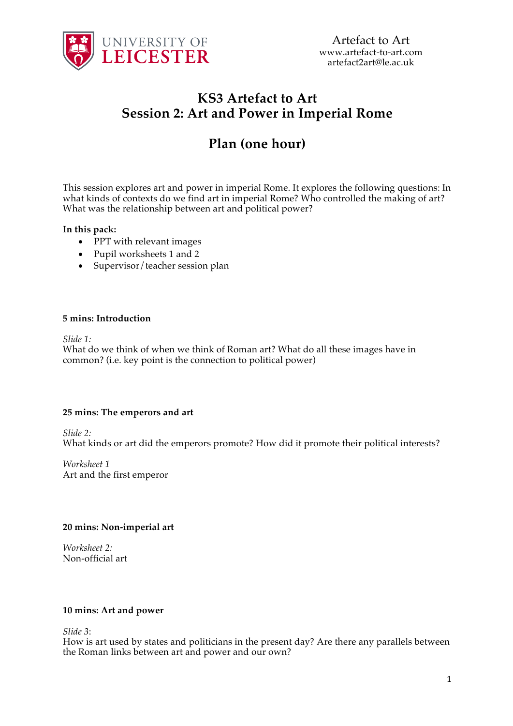

## **KS3 Artefact to Art Session 2: Art and Power in Imperial Rome**

# **Plan (one hour)**

This session explores art and power in imperial Rome. It explores the following questions: In what kinds of contexts do we find art in imperial Rome? Who controlled the making of art? What was the relationship between art and political power?

#### **In this pack:**

- PPT with relevant images
- Pupil worksheets 1 and 2
- Supervisor/teacher session plan

#### **5 mins: Introduction**

*Slide 1:*

What do we think of when we think of Roman art? What do all these images have in common? (i.e. key point is the connection to political power)

#### **25 mins: The emperors and art**

*Slide 2:*

What kinds or art did the emperors promote? How did it promote their political interests?

*Worksheet 1* Art and the first emperor

#### **20 mins: Non-imperial art**

*Worksheet 2:* Non-official art

#### **10 mins: Art and power**

*Slide 3*:

How is art used by states and politicians in the present day? Are there any parallels between the Roman links between art and power and our own?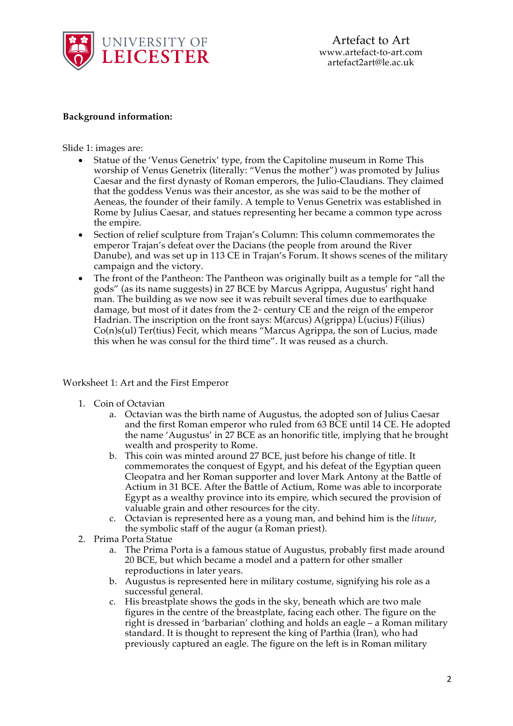

Artefact to Art www.artefact-to-art.com artefact2art@le.ac.uk

#### **Background information:**

Slide 1: images are:

- Statue of the 'Venus Genetrix' type, from the Capitoline museum in Rome This worship of Venus Genetrix (literally: "Venus the mother") was promoted by Julius Caesar and the first dynasty of Roman emperors, the Julio-Claudians. They claimed that the goddess Venus was their ancestor, as she was said to be the mother of Aeneas, the founder of their family. A temple to Venus Genetrix was established in Rome by Julius Caesar, and statues representing her became a common type across the empire.
- Section of relief sculpture from Trajan's Column: This column commemorates the emperor Trajan's defeat over the Dacians (the people from around the River Danube), and was set up in 113 CE in Trajan's Forum. It shows scenes of the military campaign and the victory.
- The front of the Pantheon: The Pantheon was originally built as a temple for "all the gods" (as its name suggests) in 27 BCE by Marcus Agrippa, Augustus' right hand man. The building as we now see it was rebuilt several times due to earthquake damage, but most of it dates from the  $2<sup>nd</sup>$  century CE and the reign of the emperor Hadrian. The inscription on the front says: M(arcus) A(grippa) L(ucius) F(ilius) Co(n)s(ul) Ter(tius) Fecit, which means "Marcus Agrippa, the son of Lucius, made this when he was consul for the third time". It was reused as a church.

Worksheet 1: Art and the First Emperor

- 1. Coin of Octavian
	- a. Octavian was the birth name of Augustus, the adopted son of Julius Caesar and the first Roman emperor who ruled from 63 BCE until 14 CE. He adopted the name 'Augustus' in 27 BCE as an honorific title, implying that he brought wealth and prosperity to Rome.
	- b. This coin was minted around 27 BCE, just before his change of title. It commemorates the conquest of Egypt, and his defeat of the Egyptian queen Cleopatra and her Roman supporter and lover Mark Antony at the Battle of Actium in 31 BCE. After the Battle of Actium, Rome was able to incorporate Egypt as a wealthy province into its empire, which secured the provision of valuable grain and other resources for the city.
	- c. Octavian is represented here as a young man, and behind him is the *lituur*, the symbolic staff of the augur (a Roman priest).
- 2. Prima Porta Statue
	- a. The Prima Porta is a famous statue of Augustus, probably first made around 20 BCE, but which became a model and a pattern for other smaller reproductions in later years.
	- b. Augustus is represented here in military costume, signifying his role as a successful general.
	- c. His breastplate shows the gods in the sky, beneath which are two male figures in the centre of the breastplate, facing each other. The figure on the right is dressed in 'barbarian' clothing and holds an eagle – a Roman military standard. It is thought to represent the king of Parthia (Iran), who had previously captured an eagle. The figure on the left is in Roman military